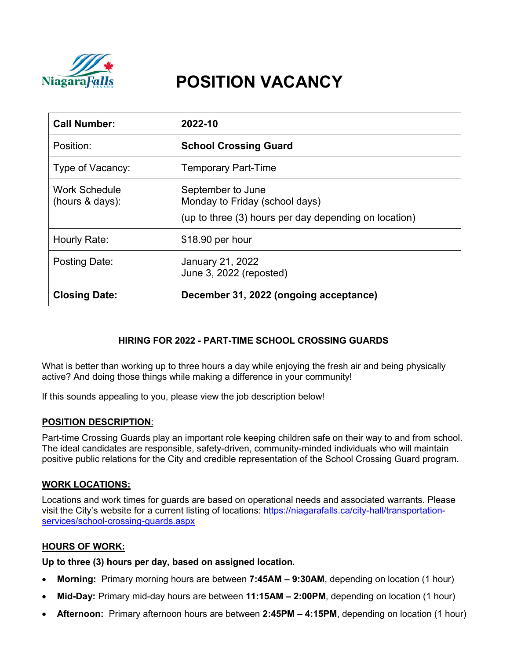

# **POSITION VACANCY**

| <b>Call Number:</b>                | 2022-10                                                                                                      |
|------------------------------------|--------------------------------------------------------------------------------------------------------------|
| Position:                          | <b>School Crossing Guard</b>                                                                                 |
| Type of Vacancy:                   | <b>Temporary Part-Time</b>                                                                                   |
| Work Schedule<br>(hours $&$ days): | September to June<br>Monday to Friday (school days)<br>(up to three (3) hours per day depending on location) |
| Hourly Rate:                       | $$18.90$ per hour                                                                                            |
| <b>Posting Date:</b>               | January 21, 2022<br>June 3, 2022 (reposted)                                                                  |
| <b>Closing Date:</b>               | December 31, 2022 (ongoing acceptance)                                                                       |

# **HIRING FOR 2022 - PART-TIME SCHOOL CROSSING GUARDS**

What is better than working up to three hours a day while enjoying the fresh air and being physically active? And doing those things while making a difference in your community!

If this sounds appealing to you, please view the job description below!

#### **POSITION DESCRIPTION**:

Part-time Crossing Guards play an important role keeping children safe on their way to and from school. The ideal candidates are responsible, safety-driven, community-minded individuals who will maintain positive public relations for the City and credible representation of the School Crossing Guard program.

## **WORK LOCATIONS:**

Locations and work times for guards are based on operational needs and associated warrants. Please visit the City's website for a current listing of locations: https://niagarafalls.ca/city-hall/transportationservices/school-crossing-guards.aspx

## **HOURS OF WORK:**

**Up to three (3) hours per day, based on assigned location.**

- **Morning:** Primary morning hours are between **7:45AM – 9:30AM**, depending on location (1 hour)
- **Mid-Day:** Primary mid-day hours are between **11:15AM – 2:00PM**, depending on location (1 hour)
- **Afternoon:** Primary afternoon hours are between **2:45PM – 4:15PM**, depending on location (1 hour)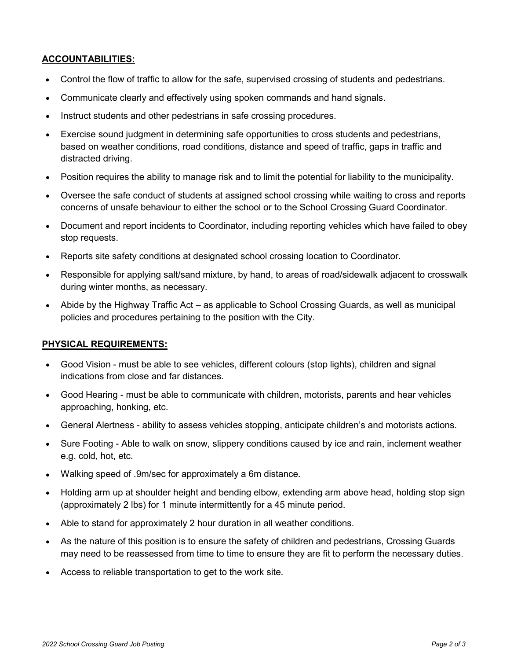# **ACCOUNTABILITIES:**

- Control the flow of traffic to allow for the safe, supervised crossing of students and pedestrians.
- Communicate clearly and effectively using spoken commands and hand signals.
- Instruct students and other pedestrians in safe crossing procedures.
- Exercise sound judgment in determining safe opportunities to cross students and pedestrians, based on weather conditions, road conditions, distance and speed of traffic, gaps in traffic and distracted driving.
- Position requires the ability to manage risk and to limit the potential for liability to the municipality.
- Oversee the safe conduct of students at assigned school crossing while waiting to cross and reports concerns of unsafe behaviour to either the school or to the School Crossing Guard Coordinator.
- Document and report incidents to Coordinator, including reporting vehicles which have failed to obey stop requests.
- Reports site safety conditions at designated school crossing location to Coordinator.
- Responsible for applying salt/sand mixture, by hand, to areas of road/sidewalk adjacent to crosswalk during winter months, as necessary.
- Abide by the Highway Traffic Act as applicable to School Crossing Guards, as well as municipal policies and procedures pertaining to the position with the City.

## **PHYSICAL REQUIREMENTS:**

- Good Vision must be able to see vehicles, different colours (stop lights), children and signal indications from close and far distances.
- Good Hearing must be able to communicate with children, motorists, parents and hear vehicles approaching, honking, etc.
- General Alertness ability to assess vehicles stopping, anticipate children's and motorists actions.
- Sure Footing Able to walk on snow, slippery conditions caused by ice and rain, inclement weather e.g. cold, hot, etc.
- Walking speed of .9m/sec for approximately a 6m distance.
- Holding arm up at shoulder height and bending elbow, extending arm above head, holding stop sign (approximately 2 lbs) for 1 minute intermittently for a 45 minute period.
- Able to stand for approximately 2 hour duration in all weather conditions.
- As the nature of this position is to ensure the safety of children and pedestrians, Crossing Guards may need to be reassessed from time to time to ensure they are fit to perform the necessary duties.
- Access to reliable transportation to get to the work site.